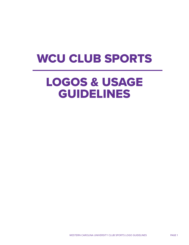# WCU CLUB SPORTS

# LOGOS & USAGE GUIDELINES

WESTERN CAROLINA UNIVERSITY CLUB SPORTS LOGO GUIDELINES PAGE 1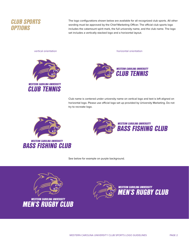

The logo configurations shown below are available for all recognized club sports. All other wording must be approved by the Chief Marketing Officer. The official club sports logo includes the catamount spirit mark, the full university name, and the club name. The logo set includes a vertically stacked logo and a horizontal layout.



vertical orientation horizontal orientation horizontal orientation



Club name is centered under university name on vertical logo and text is left aligned on horizontal logo. Please use official logo set up provided by University Marketing. Do not try to recreate logo.



**WESTERN CAROLINA UNIVERSITY BASS FISHING CLUB** 



See below for example on purple background.





**WESTERN CAROLINA UNIVERSITY MEN'S RUGBY CLUB**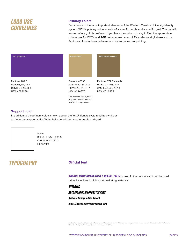## *LOGO USE GUIDELINES*

### Primary colors

Color is one of the most important elements of the Western Carolina University identity system. WCU's primary colors consist of a specific purple and a specific gold. The metallic version of our gold is preferred if you have the option of using it. Find the appropriate color mixes for CMYK and RGB below as well as our HEX codes for digital use and our Pantone colors for branded merchandise and one-color printing.



#### Support color

In addition to the primary colors shown above, the WCU identity system utilizes white as an important support color. White helps to add contrast to purple and gold.



**White** R: 255 G: 255 B: 255 C: 0 M: 0 Y: 0 K: 0 HEX: #ffffff

## *TYPOGRAPHY*

#### **Official font**

*NIMBUS SANS CONDENSED L BLACK ITALIC* is used in the main mark. It can be used primarily in titles in club sport marketing materials.

#### *NIMBUS*

*ABCDEFGHIJKLMNOPQRSTUVWXYZ*

*Available through Adobe Typekit*

*https://typekit.com/fonts/nimbus-sans*

*Pantone® is a registered trademark of Pantone, Inc. The colors shown on this page and throughout this manual are not intended to match the Pantone® Color Standards; use Pantone® chips for accurate color matching.*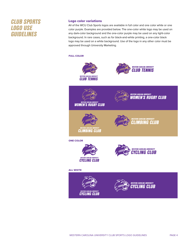## *CLUB SPORTS LOGO USE GUIDELINES*

### Logo color variations

All of the WCU Club Sports logos are available in full color and one color white or one color purple. Examples are provided below. The one-color white logo may be used on any dark-color background and the one-color purple may be used on any light-color background. In rare cases, such as for black-and-white printing, a one-color black logo may be used on a white background. Use of the logo in any other color must be approved through University Marketing.

### FULL COLOR



**WOMEN'S RUGBY CLUB** 







ONE COLOR



**CLIMBING CLUB** 



#### ALL WHITE

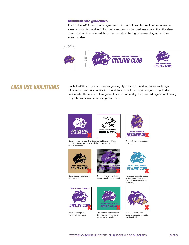#### Minimum size guidelines

Each of the WCU Club Sports logos has a minimum allowable size. In order to ensure clear reproduction and legibility, the logos must not be used any smaller than the sizes shown below. It is preferred that, when possible, the logos be used larger than their minimum size.



## *LOGO USE VIOLATIONS*

So that WCU can maintain the design integrity of its brand and maximize each logo's efectiveness as an identifier, it is mandatory that all Club Sports logos be applied as indicated in this manual. As a general rule do not modify the provided logo artwork in any way. Shown below are unacceptable uses:



Never reverse the logo. The Catamount whiskers and face highlights should always be the lighter color, not the darker color, when printed.



Never stretch or compress any logo.



Never use any gold/black combination.



Never use one color logo over a complex background.



Never re-arrange the elements in any logo.



The cathead mark is either three colors or one. Never create a two-color logo.



*CYCLING CLUB WESTERN CAROLINA UNIVERSITY*



Never add additional graphic elements or text to the logo itself.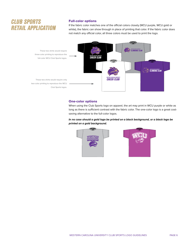## *CLUB SPORTS RETAIL APPLICATION*

### Full-color options

If the fabric color matches one of the official colors closely (WCU purple, WCU gold or white), the fabric can show through in place of printing that color. If the fabric color does not match any official color, all three colors must be used to print the logo.



#### One-color options

When using the Club Sports logo on apparel, the art may print in WCU purple or white as long as there is sufficient contrast with the fabric color. The one-color logo is a great costsaving alternative to the full-color logos.

#### *In no case should a gold logo be printed on a black background, or a black logo be printed on a gold background.*